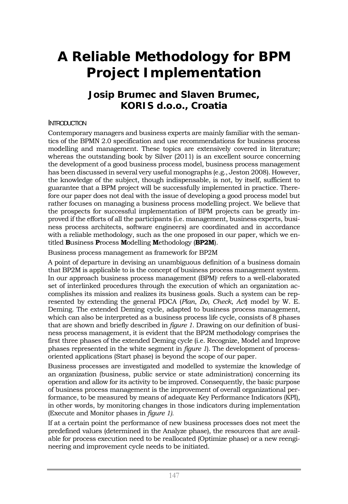# **A Reliable Methodology for BPM Project Implementation**

# **Josip Brumec and Slaven Brumec, KORIS d.o.o., Croatia**

#### **INTRODUCTION**

Contemporary managers and business experts are mainly familiar with the semantics of the BPMN 2.0 specification and use recommendations for business process modelling and management. These topics are extensively covered in literature; whereas the outstanding book by Silver (2011) is an excellent source concerning the development of a good business process model, business process management has been discussed in several very useful monographs (e.g., Jeston 2008). However, the knowledge of the subject, though indispensable, is not, by itself, sufficient to guarantee that a BPM project will be successfully implemented in practice. Therefore our paper does not deal with the issue of developing a good process model but rather focuses on managing a business process modelling project. We believe that the prospects for successful implementation of BPM projects can be greatly improved if the efforts of all the participants (i.e. management, business experts, business process architects, software engineers) are coordinated and in accordance with a reliable methodology, such as the one proposed in our paper, which we entitled **B**usiness **P**rocess **M**odelling **M**ethodology (**BP2M**).

Business process management as framework for BP2M

A point of departure in devising an unambiguous definition of a business domain that BP2M is applicable to is the concept of business process management system. In our approach business process management (BPM)<sup>†</sup> refers to a well-elaborated set of interlinked procedures through the execution of which an organization accomplishes its mission and realizes its business goals. Such a system can be represented by extending the general PDCA (*Plan*, *Do*, *Check*, *Act*) model by W. E. Deming. The extended Deming cycle, adapted to business process management, which can also be interpreted as a business process life cycle, consists of 8 phases that are shown and briefly described in *figure 1*. Drawing on our definition of business process management, it is evident that the BP2M methodology comprises the first three phases of the extended Deming cycle (i.e. Recognize, Model and Improve phases represented in the white segment in *figure 1*). The development of processoriented applications (Start phase) is beyond the scope of our paper.

Business processes are investigated and modelled to systemize the knowledge of an organization (business, public service or state administration) concerning its operation and allow for its activity to be improved. Consequently, the basic purpose of business process management is the improvement of overall organizational performance, to be measured by means of adequate Key Performance Indicators (KPI), in other words, by monitoring changes in those indicators during implementation (Execute and Monitor phases in *figure 1).*

If at a certain point the performance of new business processes does not meet the predefined values (determined in the Analyze phase), the resources that are available for process execution need to be reallocated (Optimize phase) or a new reengineering and improvement cycle needs to be initiated.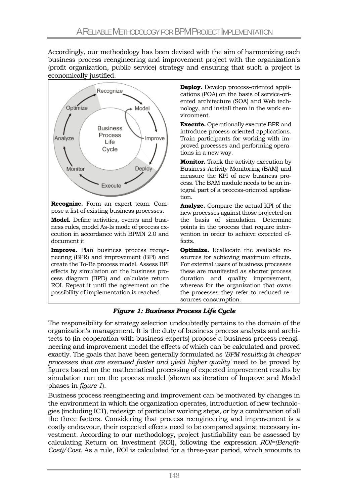Accordingly, our methodology has been devised with the aim of harmonizing each business process reengineering and improvement project with the organization's (profit organization, public service) strategy and ensuring that such a project is economically justified.



**Recognize.** Form an expert team. Compose a list of existing business processes.

**Model.** Define activities, events and business rules, model As-Is mode of process execution in accordance with BPMN 2.0 and document it.

**Improve.** Plan business process reengineering (BPR) and improvement (BPI) and create the To-Be process model. Assess BPI effects by simulation on the business process diagram (BPD) and calculate return ROI. Repeat it until the agreement on the possibility of implementation is reached.

**Deploy.** Develop process-oriented applications (POA) on the basis of service-oriented architecture (SOA) and Web technology, and install them in the work environment.

**Execute.** Operationally execute BPR and introduce process-oriented applications. Train participants for working with improved processes and performing operations in a new way.

**Monitor.** Track the activity execution by Business Activity Monitoring (BAM) and measure the KPI of new business process. The BAM module needs to be an integral part of a process-oriented application.

**Analyze.** Compare the actual KPI of the new processes against those projected on the basis of simulation. Determine points in the process that require intervention in order to achieve expected effects.

**Optimize.** Reallocate the available resources for achieving maximum effects. For external users of business processes these are manifested as shorter process duration and quality improvement, whereas for the organization that owns the processes they refer to reduced resources consumption.

## *Figure 1: Business Process Life Cycle*

The responsibility for strategy selection undoubtedly pertains to the domain of the organization's management. It is the duty of business process analysts and architects to (in cooperation with business experts) propose a business process reengineering and improvement model the effects of which can be calculated and proved exactly. The goals that have been generally formulated as *'BPM resulting in cheaper processes that are executed faster and yield higher quality'* need to be proved by figures based on the mathematical processing of expected improvement results by simulation run on the process model (shown as iteration of Improve and Model phases in *figure 1*).

Business process reengineering and improvement can be motivated by changes in the environment in which the organization operates, introduction of new technologies (including ICT), redesign of particular working steps, or by a combination of all the three factors. Considering that process reengineering and improvement is a costly endeavour, their expected effects need to be compared against necessary investment. According to our methodology, project justifiability can be assessed by calculating Return on Investment (ROI), following the expression *ROI=(Benefit-Cost)/Cost*. As a rule, ROI is calculated for a three-year period, which amounts to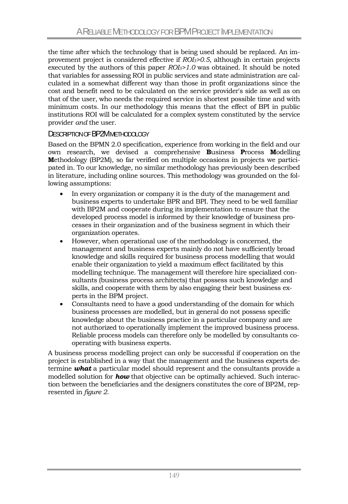the time after which the technology that is being used should be replaced. An improvement project is considered effective if *ROI3>0.5*, although in certain projects executed by the authors of this paper *ROI3>1.0* was obtained. It should be noted that variables for assessing ROI in public services and state administration are calculated in a somewhat different way than those in profit organizations since the cost and benefit need to be calculated on the service provider's side as well as on that of the user, who needs the required service in shortest possible time and with minimum costs. In our methodology this means that the effect of BPI in public institutions ROI will be calculated for a complex system constituted by the service provider *and* the user.

#### DESCRIPTION OF BP2M METHODOLOGY

Based on the BPMN 2.0 specification, experience from working in the field and our own research, we devised a comprehensive **B**usiness **P**rocess **M**odelling **M**ethodology (BP2M), so far verified on multiple occasions in projects we participated in. To our knowledge, no similar methodology has previously been described in literature, including online sources. This methodology was grounded on the following assumptions:

- In every organization or company it is the duty of the management and business experts to undertake BPR and BPI. They need to be well familiar with BP2M and cooperate during its implementation to ensure that the developed process model is informed by their knowledge of business processes in their organization and of the business segment in which their organization operates.
- However, when operational use of the methodology is concerned, the management and business experts mainly do not have sufficiently broad knowledge and skills required for business process modelling that would enable their organization to yield a maximum effect facilitated by this modelling technique. The management will therefore hire specialized consultants (business process architects) that possess such knowledge and skills, and cooperate with them by also engaging their best business experts in the BPM project.
- Consultants need to have a good understanding of the domain for which business processes are modelled, but in general do not possess specific knowledge about the business practice in a particular company and are not authorized to operationally implement the improved business process. Reliable process models can therefore only be modelled by consultants cooperating with business experts.

A business process modelling project can only be successful if cooperation on the project is established in a way that the management and the business experts determine *what* a particular model should represent and the consultants provide a modelled solution for *how* that objective can be optimally achieved. Such interaction between the beneficiaries and the designers constitutes the core of BP2M, represented in *figure 2*.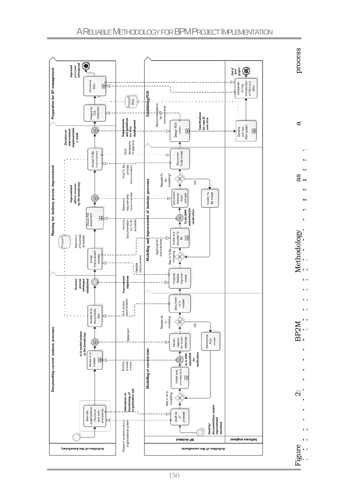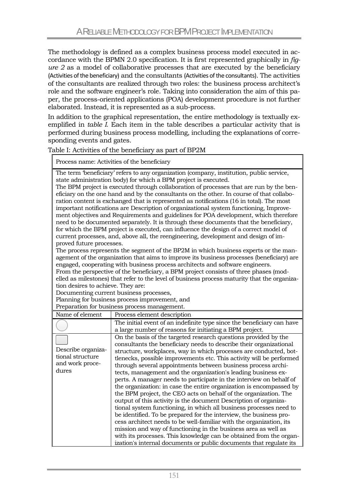The methodology is defined as a complex business process model executed in accordance with the BPMN 2.0 specification. It is first represented graphically in *figure 2* as a model of collaborative processes that are executed by the beneficiary (Activities of the beneficiary) and the consultants (Activities of the consultants). The activities of the consultants are realized through two roles: the business process architect's role and the software engineer's role. Taking into consideration the aim of this paper, the process-oriented applications (POA) development procedure is not further elaborated. Instead, it is represented as a sub-process.

In addition to the graphical representation, the entire methodology is textually exemplified in *table I*. Each item in the table describes a particular activity that is performed during business process modelling, including the explanations of corresponding events and gates.

Table I: Activities of the beneficiary as part of BP2M

Process name: Activities of the beneficiary

The term 'beneficiary' refers to any organization (company, institution, public service, state administration body) for which a BPM project is executed.

The BPM project is executed through collaboration of processes that are run by the beneficiary on the one hand and by the consultants on the other. In course of that collaboration content is exchanged that is represented as notifications (16 in total). The most important notifications are Description of organizational system functioning, Improvement objectives and Requirements and guidelines for POA development, which therefore need to be documented separately. It is through these documents that the beneficiary, for which the BPM project is executed, can influence the design of a correct model of current processes, and, above all, the reengineering, development and design of improved future processes.

The process represents the segment of the BP2M in which business experts or the management of the organization that aims to improve its business processes (beneficiary) are engaged, cooperating with business process architects and software engineers.

From the perspective of the beneficiary, a BPM project consists of three phases (modelled as milestones) that refer to the level of business process maturity that the organization desires to achieve. They are:

Documenting current business processes,

Planning for business process improvement, and

Preparation for business process management.

| Name of element                                                    | Process element description                                                                                                                                                                                                                                                                                                                                                                                                                                                                                                                                                                                                                                                                                                                                                                                                                                                                                                                                                                                                                                                                                                                |
|--------------------------------------------------------------------|--------------------------------------------------------------------------------------------------------------------------------------------------------------------------------------------------------------------------------------------------------------------------------------------------------------------------------------------------------------------------------------------------------------------------------------------------------------------------------------------------------------------------------------------------------------------------------------------------------------------------------------------------------------------------------------------------------------------------------------------------------------------------------------------------------------------------------------------------------------------------------------------------------------------------------------------------------------------------------------------------------------------------------------------------------------------------------------------------------------------------------------------|
|                                                                    | The initial event of an indefinite type since the beneficiary can have<br>a large number of reasons for initiating a BPM project.                                                                                                                                                                                                                                                                                                                                                                                                                                                                                                                                                                                                                                                                                                                                                                                                                                                                                                                                                                                                          |
| Describe organiza-<br>tional structure<br>and work proce-<br>dures | On the basis of the targeted research questions provided by the<br>consultants the beneficiary needs to describe their organizational<br>structure, workplaces, way in which processes are conducted, bot-<br>tlenecks, possible improvements etc. This activity will be performed<br>through several appointments between business process archi-<br>tects, management and the organization's leading business ex-<br>perts. A manager needs to participate in the interview on behalf of<br>the organization: in case the entire organization is encompassed by<br>the BPM project, the CEO acts on behalf of the organization. The<br>output of this activity is the document Description of organiza-<br>tional system functioning, in which all business processes need to<br>be identified. To be prepared for the interview, the business pro-<br>cess architect needs to be well-familiar with the organization, its<br>mission and way of functioning in the business area as well as<br>with its processes. This knowledge can be obtained from the organ-<br>ization's internal documents or public documents that regulate its |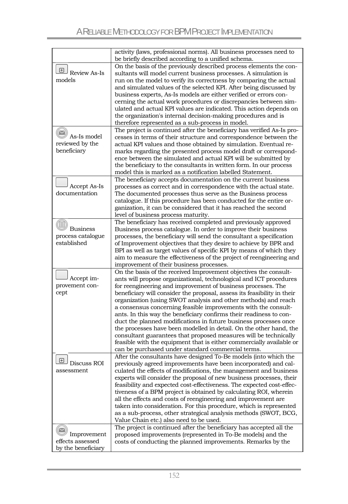|                                                       | activity (laws, professional norms). All business processes need to                                                                                                                                                                                                                                                                                                                                                                                                                                                                                                                                                                                                                                                                                                                                                                    |
|-------------------------------------------------------|----------------------------------------------------------------------------------------------------------------------------------------------------------------------------------------------------------------------------------------------------------------------------------------------------------------------------------------------------------------------------------------------------------------------------------------------------------------------------------------------------------------------------------------------------------------------------------------------------------------------------------------------------------------------------------------------------------------------------------------------------------------------------------------------------------------------------------------|
| ⊕<br>Review As-Is<br>models                           | be briefly described according to a unified schema.<br>On the basis of the previously described process elements the con-<br>sultants will model current business processes. A simulation is<br>run on the model to verify its correctness by comparing the actual<br>and simulated values of the selected KPI. After being discussed by<br>business experts, As-Is models are either verified or errors con-<br>cerning the actual work procedures or discrepancies between sim-<br>ulated and actual KPI values are indicated. This action depends on<br>the organization's internal decision-making procedures and is<br>therefore represented as a sub-process in model.<br>The project is continued after the beneficiary has verified As-Is pro-                                                                                 |
| As-Is model<br>reviewed by the<br>beneficiary         | cesses in terms of their structure and correspondence between the<br>actual KPI values and those obtained by simulation. Eventual re-<br>marks regarding the presented process model draft or correspond-<br>ence between the simulated and actual KPI will be submitted by<br>the beneficiary to the consultants in written form. In our process<br>model this is marked as a notification labelled Statement.                                                                                                                                                                                                                                                                                                                                                                                                                        |
| Accept As-Is<br>documentation                         | The beneficiary accepts documentation on the current business<br>processes as correct and in correspondence with the actual state.<br>The documented processes thus serve as the Business process<br>catalogue. If this procedure has been conducted for the entire or-<br>ganization, it can be considered that it has reached the second<br>level of business process maturity.                                                                                                                                                                                                                                                                                                                                                                                                                                                      |
| <b>Business</b><br>process catalogue<br>established   | The beneficiary has received completed and previously approved<br>Business process catalogue. In order to improve their business<br>processes, the beneficiary will send the consultant a specification<br>of Improvement objectives that they desire to achieve by BPR and<br>BPI as well as target values of specific KPI by means of which they<br>aim to measure the effectiveness of the project of reengineering and<br>improvement of their business processes.                                                                                                                                                                                                                                                                                                                                                                 |
| Accept im-<br>provement con-<br>cept                  | On the basis of the received Improvement objectives the consult-<br>ants will propose organizational, technological and ICT procedures<br>for reengineering and improvement of business processes. The<br>beneficiary will consider the proposal, assess its feasibility in their<br>organization (using SWOT analysis and other methods) and reach<br>a consensus concerning feasible improvements with the consult-<br>ants. In this way the beneficiary confirms their readiness to con-<br>duct the planned modifications in future business processes once<br>the processes have been modelled in detail. On the other hand, the<br>consultant guarantees that proposed measures will be technically<br>feasible with the equipment that is either commercially available or<br>can be purchased under standard commercial terms. |
| ⊕<br>Discuss ROI<br>assessment                        | After the consultants have designed To-Be models (into which the<br>previously agreed improvements have been incorporated) and cal-<br>culated the effects of modifications, the management and business<br>experts will consider the proposal of new business processes, their<br>feasibility and expected cost-effectiveness. The expected cost-effec-<br>tiveness of a BPM project is obtained by calculating ROI, wherein<br>all the effects and costs of reengineering and improvement are<br>taken into consideration. For this procedure, which is represented<br>as a sub-process, other strategical analysis methods (SWOT, BCG,<br>Value Chain etc.) also need to be used.                                                                                                                                                   |
| Improvement<br>effects assessed<br>by the beneficiary | The project is continued after the beneficiary has accepted all the<br>proposed improvements (represented in To-Be models) and the<br>costs of conducting the planned improvements. Remarks by the                                                                                                                                                                                                                                                                                                                                                                                                                                                                                                                                                                                                                                     |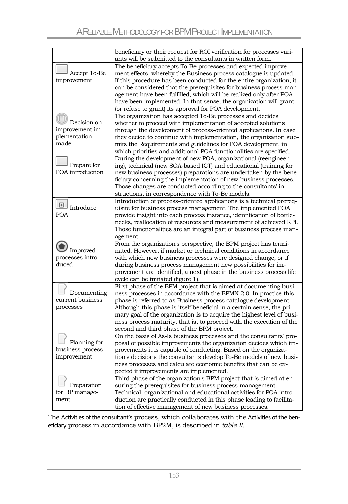|                                                        | beneficiary or their request for ROI verification for processes vari-<br>ants will be submitted to the consultants in written form.                                                                                                                                                                                                                                                                                                                                                  |
|--------------------------------------------------------|--------------------------------------------------------------------------------------------------------------------------------------------------------------------------------------------------------------------------------------------------------------------------------------------------------------------------------------------------------------------------------------------------------------------------------------------------------------------------------------|
| Accept To-Be<br>improvement                            | The beneficiary accepts To-Be processes and expected improve-<br>ment effects, whereby the Business process catalogue is updated.<br>If this procedure has been conducted for the entire organization, it<br>can be considered that the prerequisites for business process man-<br>agement have been fulfilled, which will be realized only after POA<br>have been implemented. In that sense, the organization will grant<br>(or refuse to grant) its approval for POA development. |
| Decision on<br>improvement im-<br>plementation<br>made | The organization has accepted To-Be processes and decides<br>whether to proceed with implementation of accepted solutions<br>through the development of process-oriented applications. In case<br>they decide to continue with implementation, the organization sub-<br>mits the Requirements and guidelines for POA development, in<br>which priorities and additional POA functionalities are specified.                                                                           |
| Prepare for<br>POA introduction                        | During the development of new POA, organizational (reengineer-<br>ing), technical (new SOA-based ICT) and educational (training for<br>new business processes) preparations are undertaken by the bene-<br>ficiary concerning the implementation of new business processes.<br>Those changes are conducted according to the consultants' in-<br>structions, in correspondence with To-Be models.                                                                                     |
| ⊕<br>Introduce<br><b>POA</b>                           | Introduction of process-oriented applications is a technical prereq-<br>uisite for business process management. The implemented POA<br>provide insight into each process instance, identification of bottle-<br>necks, reallocation of resources and measurement of achieved KPI.<br>Those functionalities are an integral part of business process man-<br>agement.                                                                                                                 |
| Improved<br>processes intro-<br>duced                  | From the organization's perspective, the BPM project has termi-<br>nated. However, if market or technical conditions in accordance<br>with which new business processes were designed change, or if<br>during business process management new possibilities for im-<br>provement are identified, a next phase in the business process life<br>cycle can be initiated (figure 1).                                                                                                     |
| Documenting<br>current business<br>processes           | First phase of the BPM project that is aimed at documenting busi-<br>ness processes in accordance with the BPMN 2.0. In practice this<br>phase is referred to as Business process catalogue development.<br>Although this phase is itself beneficial in a certain sense, the pri-<br>mary goal of the organization is to acquire the highest level of busi-<br>ness process maturity, that is, to proceed with the execution of the<br>second and third phase of the BPM project.    |
| Planning for<br>business process<br>improvement        | On the basis of As-Is business processes and the consultants' pro-<br>posal of possible improvements the organization decides which im-<br>provements it is capable of conducting. Based on the organiza-<br>tion's decisions the consultants develop To-Be models of new busi-<br>ness processes and calculate economic benefits that can be ex-<br>pected if improvements are implemented.                                                                                         |
| Preparation<br>for BP manage-<br>ment                  | Third phase of the organization's BPM project that is aimed at en-<br>suring the prerequisites for business process management.<br>Technical, organizational and educational activities for POA intro-<br>duction are practically conducted in this phase leading to facilita-<br>tion of effective management of new business processes.                                                                                                                                            |

The Activities of the consultant's process, which collaborates with the Activities of the beneficiary process in accordance with BP2M, is described in *table II.*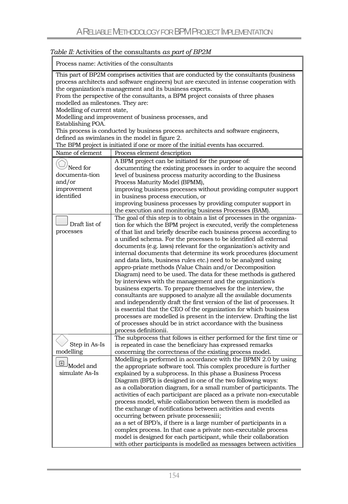#### *Table II:* Activities of the consultants *as part of BP2M*

Process name: Activities of the consultants

| This part of BP2M comprises activities that are conducted by the consultants (business<br>process architects and software engineers) but are executed in intense cooperation with<br>the organization's management and its business experts.<br>From the perspective of the consultants, a BPM project consists of three phases<br>modelled as milestones. They are:<br>Modelling of current state, |  |  |
|-----------------------------------------------------------------------------------------------------------------------------------------------------------------------------------------------------------------------------------------------------------------------------------------------------------------------------------------------------------------------------------------------------|--|--|
| Modelling and improvement of business processes, and                                                                                                                                                                                                                                                                                                                                                |  |  |
| Establishing POA.                                                                                                                                                                                                                                                                                                                                                                                   |  |  |
| This process is conducted by business process architects and software engineers,                                                                                                                                                                                                                                                                                                                    |  |  |
| defined as swimlanes in the model in figure 2.                                                                                                                                                                                                                                                                                                                                                      |  |  |
| The BPM project is initiated if one or more of the initial events has occurred.                                                                                                                                                                                                                                                                                                                     |  |  |
| Name of element<br>Process element description                                                                                                                                                                                                                                                                                                                                                      |  |  |
| A BPM project can be initiated for the purpose of:                                                                                                                                                                                                                                                                                                                                                  |  |  |
| Need for<br>documenting the existing processes in order to acquire the second                                                                                                                                                                                                                                                                                                                       |  |  |
| documenta-tion<br>level of business process maturity according to the Business                                                                                                                                                                                                                                                                                                                      |  |  |
| and/or<br>Process Maturity Model (BPMM),                                                                                                                                                                                                                                                                                                                                                            |  |  |
| improvement<br>improving business processes without providing computer support                                                                                                                                                                                                                                                                                                                      |  |  |
| identified<br>in business process execution, or                                                                                                                                                                                                                                                                                                                                                     |  |  |
| improving business processes by providing computer support in                                                                                                                                                                                                                                                                                                                                       |  |  |
| the execution and monitoring business Processes (BAM).                                                                                                                                                                                                                                                                                                                                              |  |  |
| The goal of this step is to obtain a list of processes in the organiza-                                                                                                                                                                                                                                                                                                                             |  |  |
| Draft list of<br>tion for which the BPM project is executed, verify the completeness                                                                                                                                                                                                                                                                                                                |  |  |
| processes<br>of that list and briefly describe each business process according to                                                                                                                                                                                                                                                                                                                   |  |  |
| a unified schema. For the processes to be identified all external                                                                                                                                                                                                                                                                                                                                   |  |  |
| documents (e.g. laws) relevant for the organization's activity and                                                                                                                                                                                                                                                                                                                                  |  |  |
| internal documents that determine its work procedures (document                                                                                                                                                                                                                                                                                                                                     |  |  |
| and data lists, business rules etc.) need to be analyzed using                                                                                                                                                                                                                                                                                                                                      |  |  |
| appro-priate methods (Value Chain and/or Decomposition                                                                                                                                                                                                                                                                                                                                              |  |  |
| Diagram) need to be used. The data for these methods is gathered                                                                                                                                                                                                                                                                                                                                    |  |  |
| by interviews with the management and the organization's                                                                                                                                                                                                                                                                                                                                            |  |  |
| business experts. To prepare themselves for the interview, the                                                                                                                                                                                                                                                                                                                                      |  |  |
| consultants are supposed to analyze all the available documents                                                                                                                                                                                                                                                                                                                                     |  |  |
| and independently draft the first version of the list of processes. It                                                                                                                                                                                                                                                                                                                              |  |  |
| is essential that the CEO of the organization for which business                                                                                                                                                                                                                                                                                                                                    |  |  |
| processes are modelled is present in the interview. Drafting the list                                                                                                                                                                                                                                                                                                                               |  |  |
| of processes should be in strict accordance with the business                                                                                                                                                                                                                                                                                                                                       |  |  |
| process definitionii.                                                                                                                                                                                                                                                                                                                                                                               |  |  |
| The subprocess that follows is either performed for the first time or                                                                                                                                                                                                                                                                                                                               |  |  |
| Step in As-Is<br>is repeated in case the beneficiary has expressed remarks                                                                                                                                                                                                                                                                                                                          |  |  |
| modelling<br>concerning the correctness of the existing process model.                                                                                                                                                                                                                                                                                                                              |  |  |
| Modelling is performed in accordance with the BPMN 2.0 by using                                                                                                                                                                                                                                                                                                                                     |  |  |
| ⊕<br>Model and<br>the appropriate software tool. This complex procedure is further                                                                                                                                                                                                                                                                                                                  |  |  |
| simulate As-Is<br>explained by a subprocess. In this phase a Business Process                                                                                                                                                                                                                                                                                                                       |  |  |
| Diagram (BPD) is designed in one of the two following ways:                                                                                                                                                                                                                                                                                                                                         |  |  |
| as a collaboration diagram, for a small number of participants. The                                                                                                                                                                                                                                                                                                                                 |  |  |
| activities of each participant are placed as a private non-executable                                                                                                                                                                                                                                                                                                                               |  |  |
| process model, while collaboration between them is modelled as                                                                                                                                                                                                                                                                                                                                      |  |  |
| the exchange of notifications between activities and events                                                                                                                                                                                                                                                                                                                                         |  |  |
| occurring between private processesiii;                                                                                                                                                                                                                                                                                                                                                             |  |  |
| as a set of BPD's, if there is a large number of participants in a                                                                                                                                                                                                                                                                                                                                  |  |  |
| complex process. In that case a private non-executable process                                                                                                                                                                                                                                                                                                                                      |  |  |
| model is designed for each participant, while their collaboration                                                                                                                                                                                                                                                                                                                                   |  |  |
| with other participants is modelled as messages between activities                                                                                                                                                                                                                                                                                                                                  |  |  |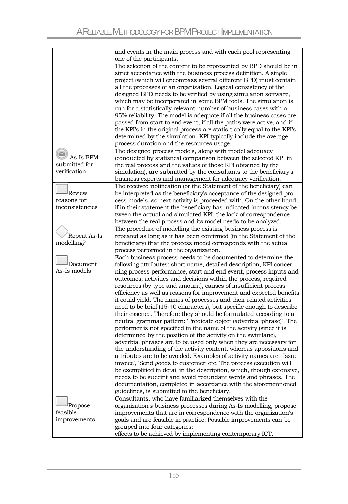|                 | and events in the main process and with each pool representing          |
|-----------------|-------------------------------------------------------------------------|
|                 | one of the participants.                                                |
|                 | The selection of the content to be represented by BPD should be in      |
|                 | strict accordance with the business process definition. A single        |
|                 | project (which will encompass several different BPD) must contain       |
|                 | all the processes of an organization. Logical consistency of the        |
|                 | designed BPD needs to be verified by using simulation software,         |
|                 | which may be incorporated in some BPM tools. The simulation is          |
|                 | run for a statistically relevant number of business cases with a        |
|                 | 95% reliability. The model is adequate if all the business cases are    |
|                 | passed from start to end event, if all the paths were active, and if    |
|                 | the KPI's in the original process are statis-tically equal to the KPI's |
|                 | determined by the simulation. KPI typically include the average         |
|                 | process duration and the resources usage.                               |
|                 | The designed process models, along with model adequacy                  |
| As-Is BPM       | (conducted by statistical comparison between the selected KPI in        |
| submitted for   | the real process and the values of those KPI obtained by the            |
| verification    | simulation), are submitted by the consultants to the beneficiary's      |
|                 |                                                                         |
|                 | business experts and management for adequacy verification.              |
| Review          | The received notification (or the Statement of the beneficiary) can     |
| reasons for     | be interpreted as the beneficiary's acceptance of the designed pro-     |
| inconsistencies | cess models, so next activity is proceeded with. On the other hand,     |
|                 | if in their statement the beneficiary has indicated inconsistency be-   |
|                 | tween the actual and simulated KPI, the lack of correspondence          |
|                 | between the real process and its model needs to be analyzed.            |
|                 | The procedure of modelling the existing business process is             |
| Repeat As-Is    | repeated as long as it has been confirmed (in the Statement of the      |
| modelling?      | beneficiary) that the process model corresponds with the actual         |
|                 | process performed in the organization.                                  |
|                 | Each business process needs to be documented to determine the           |
| Document        | following attributes: short name, detailed description, KPI concer-     |
| As-Is models    | ning process performance, start and end event, process inputs and       |
|                 | outcomes, activities and decisions within the process, required         |
|                 | resources (by type and amount), causes of insufficient process          |
|                 | efficiency as well as reasons for improvement and expected benefits     |
|                 | it could yield. The names of processes and their related activities     |
|                 | need to be brief (15-40 characters), but specific enough to describe    |
|                 | their essence. Therefore they should be formulated according to a       |
|                 | neutral grammar pattern: 'Predicate object (adverbial phrase)'. The     |
|                 | performer is not specified in the name of the activity (since it is     |
|                 | determined by the position of the activity on the swimlane),            |
|                 | adverbial phrases are to be used only when they are necessary for       |
|                 | the understanding of the activity content, whereas appositions and      |
|                 | attributes are to be avoided. Examples of activity names are: 'Issue    |
|                 | invoice', 'Send goods to customer' etc. The process execution will      |
|                 | be exemplified in detail in the description, which, though extensive,   |
|                 | needs to be succint and avoid redundant words and phrases. The          |
|                 | documentation, completed in accordance with the aforementioned          |
|                 | guidelines, is submitted to the beneficiary.                            |
|                 | Consultants, who have familiarized themselves with the                  |
| Propose         | organization's business processes during As-Is modelling, propose       |
| feasible        | improvements that are in correspondence with the organization's         |
| improvements    | goals and are feasible in practice. Possible improvements can be        |
|                 | grouped into four categories:                                           |
|                 | effects to be achieved by implementing contemporary ICT,                |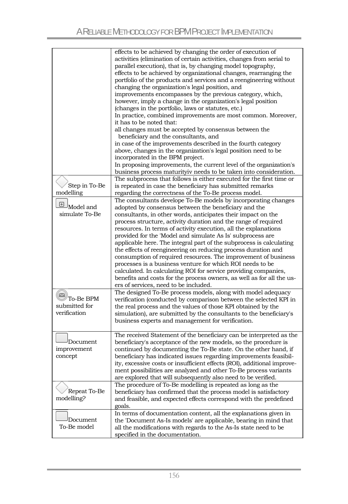| Step in To-Be<br>modelling<br>⊞<br>Model and<br>simulate To-Be | effects to be achieved by changing the order of execution of<br>activities (elimination of certain activities, changes from serial to<br>parallel execution), that is, by changing model topography,<br>effects to be achieved by organizational changes, rearranging the<br>portfolio of the products and services and a reengineering without<br>changing the organization's legal position, and<br>improvements encompasses by the previous category, which,<br>however, imply a change in the organization's legal position<br>(changes in the portfolio, laws or statutes, etc.)<br>In practice, combined improvements are most common. Moreover,<br>it has to be noted that:<br>all changes must be accepted by consensus between the<br>beneficiary and the consultants, and<br>in case of the improvements described in the fourth category<br>above, changes in the organization's legal position need to be<br>incorporated in the BPM project.<br>In proposing improvements, the current level of the organization's<br>business process maturityiv needs to be taken into consideration.<br>The subprocess that follows is either executed for the first time or<br>is repeated in case the beneficiary has submitted remarks<br>regarding the correctness of the To-Be process model.<br>The consultants develope To-Be models by incorporating changes<br>adopted by consensus between the beneficiary and the<br>consultants, in other words, anticipates their impact on the<br>process structure, activity duration and the range of required<br>resources. In terms of activity execution, all the explanations<br>provided for the 'Model and simulate As Is' subprocess are<br>applicable here. The integral part of the subprocess is calculating<br>the effects of reengineering on reducing process duration and<br>consumption of required resources. The improvement of business<br>processes is a business venture for which ROI needs to be<br>calculated. In calculating ROI for service providing companies, |
|----------------------------------------------------------------|-------------------------------------------------------------------------------------------------------------------------------------------------------------------------------------------------------------------------------------------------------------------------------------------------------------------------------------------------------------------------------------------------------------------------------------------------------------------------------------------------------------------------------------------------------------------------------------------------------------------------------------------------------------------------------------------------------------------------------------------------------------------------------------------------------------------------------------------------------------------------------------------------------------------------------------------------------------------------------------------------------------------------------------------------------------------------------------------------------------------------------------------------------------------------------------------------------------------------------------------------------------------------------------------------------------------------------------------------------------------------------------------------------------------------------------------------------------------------------------------------------------------------------------------------------------------------------------------------------------------------------------------------------------------------------------------------------------------------------------------------------------------------------------------------------------------------------------------------------------------------------------------------------------------------------------------------------------------------------------------------------------------------------------------|
|                                                                | benefits and costs for the process owners, as well as for all the us-                                                                                                                                                                                                                                                                                                                                                                                                                                                                                                                                                                                                                                                                                                                                                                                                                                                                                                                                                                                                                                                                                                                                                                                                                                                                                                                                                                                                                                                                                                                                                                                                                                                                                                                                                                                                                                                                                                                                                                     |
|                                                                | ers of services, need to be included.                                                                                                                                                                                                                                                                                                                                                                                                                                                                                                                                                                                                                                                                                                                                                                                                                                                                                                                                                                                                                                                                                                                                                                                                                                                                                                                                                                                                                                                                                                                                                                                                                                                                                                                                                                                                                                                                                                                                                                                                     |
| To-Be BPM<br>submitted for<br>verification                     | The designed To-Be process models, along with model adequacy<br>verification (conducted by comparison between the selected KPI in<br>the real process and the values of those KPI obtained by the<br>simulation), are submitted by the consultants to the beneficiary's<br>business experts and management for verification.                                                                                                                                                                                                                                                                                                                                                                                                                                                                                                                                                                                                                                                                                                                                                                                                                                                                                                                                                                                                                                                                                                                                                                                                                                                                                                                                                                                                                                                                                                                                                                                                                                                                                                              |
| Document<br>improvement<br>concept                             | The received Statement of the beneficiary can be interpreted as the<br>beneficiary's acceptance of the new models, so the procedure is<br>continued by documenting the To-Be state. On the other hand, if<br>beneficiary has indicated issues regarding improvements feasibil-<br>ity, excessive costs or insufficient effects (ROI), additional improve-<br>ment possibilities are analyzed and other To-Be process variants<br>are explored that will subsequently also need to be verified.                                                                                                                                                                                                                                                                                                                                                                                                                                                                                                                                                                                                                                                                                                                                                                                                                                                                                                                                                                                                                                                                                                                                                                                                                                                                                                                                                                                                                                                                                                                                            |
| Repeat To-Be<br>modelling?                                     | The procedure of To-Be modelling is repeated as long as the<br>beneficiary has confirmed that the process model is satisfactory<br>and feasible, and expected effects correspond with the predefined<br>goals.                                                                                                                                                                                                                                                                                                                                                                                                                                                                                                                                                                                                                                                                                                                                                                                                                                                                                                                                                                                                                                                                                                                                                                                                                                                                                                                                                                                                                                                                                                                                                                                                                                                                                                                                                                                                                            |
| Document<br>To-Be model                                        | In terms of documentation content, all the explanations given in<br>the 'Document As-Is models' are applicable, bearing in mind that<br>all the modifications with regards to the As-Is state need to be<br>specified in the documentation.                                                                                                                                                                                                                                                                                                                                                                                                                                                                                                                                                                                                                                                                                                                                                                                                                                                                                                                                                                                                                                                                                                                                                                                                                                                                                                                                                                                                                                                                                                                                                                                                                                                                                                                                                                                               |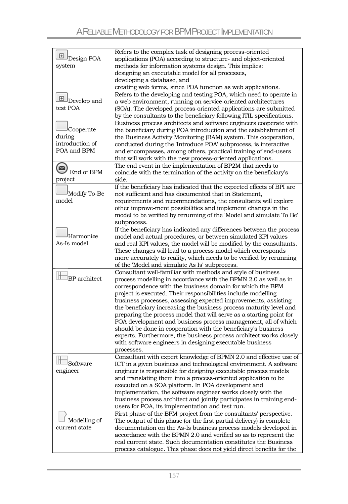| ⊞<br>Design POA<br>system                             | Refers to the complex task of designing process-oriented<br>applications (POA) according to structure- and object-oriented<br>methods for information systems design. This implies:<br>designing an executable model for all processes,<br>developing a database, and<br>creating web forms, since POA function as web applications.                                                                                                                                                                                                                                                                                                                                                                                                                          |
|-------------------------------------------------------|---------------------------------------------------------------------------------------------------------------------------------------------------------------------------------------------------------------------------------------------------------------------------------------------------------------------------------------------------------------------------------------------------------------------------------------------------------------------------------------------------------------------------------------------------------------------------------------------------------------------------------------------------------------------------------------------------------------------------------------------------------------|
| $\boxplus$<br>Develop and<br>test POA                 | Refers to the developing and testing POA, which need to operate in<br>a web environment, running on service-oriented architectures<br>(SOA). The developed process-oriented applications are submitted<br>by the consultants to the beneficiary following ITIL specifications.                                                                                                                                                                                                                                                                                                                                                                                                                                                                                |
| Cooperate<br>during<br>introduction of<br>POA and BPM | Business process architects and software engineers cooperate with<br>the beneficiary during POA introduction and the establishment of<br>the Business Activity Monitoring (BAM) system. This cooperation,<br>conducted during the 'Introduce POA' subprocess, is interactive<br>and encompasses, among others, practical training of end-users<br>that will work with the new process-oriented applications.                                                                                                                                                                                                                                                                                                                                                  |
| End of BPM<br>project                                 | The end event in the implementation of BP2M that needs to<br>coincide with the termination of the activity on the beneficiary's<br>side.                                                                                                                                                                                                                                                                                                                                                                                                                                                                                                                                                                                                                      |
| Modify To-Be<br>model                                 | If the beneficiary has indicated that the expected effects of BPI are<br>not sufficient and has documented that in Statement,<br>requirements and recommendations, the consultants will explore<br>other improve-ment possibilities and implement changes in the<br>model to be verified by rerunning of the 'Model and simulate To Be'<br>subprocess.                                                                                                                                                                                                                                                                                                                                                                                                        |
| Harmonize<br>As-Is model                              | If the beneficiary has indicated any differences between the process<br>model and actual procedures, or between simulated KPI values<br>and real KPI values, the model will be modified by the consultants.<br>These changes will lead to a process model which corresponds<br>more accurately to reality, which needs to be verified by rerunning<br>of the 'Model and simulate As Is' subprocess.                                                                                                                                                                                                                                                                                                                                                           |
| <b>BP</b> architect                                   | Consultant well-familiar with methods and style of business<br>process modelling in accordance with the BPMN 2.0 as well as in<br>correspondence with the business domain for which the BPM<br>project is executed. Their responsibilities include modelling<br>business processes, assessing expected improvements, assisting<br>the beneficiary increasing the business process maturity level and<br>preparing the process model that will serve as a starting point for<br>POA development and business process management, all of which<br>should be done in cooperation with the beneficiary's business<br>experts. Furthermore, the business process architect works closely<br>with software engineers in designing executable business<br>processes. |
| Software<br>engineer                                  | Consultant with expert knowledge of BPMN 2.0 and effective use of<br>ICT in a given business and technological environment. A software<br>engineer is responsible for designing executable process models<br>and translating them into a process-oriented application to be<br>executed on a SOA platform. In POA development and<br>implementation, the software engineer works closely with the<br>business process architect and jointly participates in training end-<br>users for POA, its implementation and test run.                                                                                                                                                                                                                                  |
| Modelling of<br>current state                         | First phase of the BPM project from the consultants' perspective.<br>The output of this phase (or the first partial delivery) is complete<br>documentation on the As-Is business process models developed in<br>accordance with the BPMN 2.0 and verified so as to represent the<br>real current state. Such documentation constitutes the Business<br>process catalogue. This phase does not yield direct benefits for the                                                                                                                                                                                                                                                                                                                                   |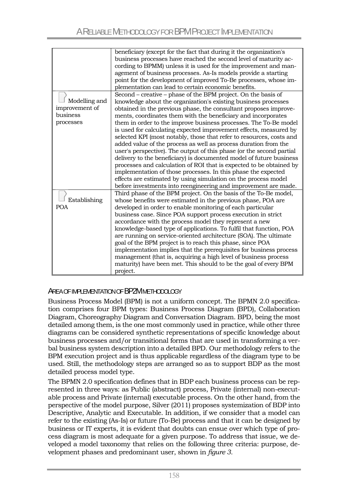|                | beneficiary (except for the fact that during it the organization's<br>business processes have reached the second level of maturity ac-<br>cording to BPMM) unless it is used for the improvement and man-<br>agement of business processes. As-Is models provide a starting<br>point for the development of improved To-Be processes, whose im-<br>plementation can lead to certain economic benefits. |
|----------------|--------------------------------------------------------------------------------------------------------------------------------------------------------------------------------------------------------------------------------------------------------------------------------------------------------------------------------------------------------------------------------------------------------|
| Modelling and  | Second – creative – phase of the BPM project. On the basis of<br>knowledge about the organization's existing business processes                                                                                                                                                                                                                                                                        |
| improvement of | obtained in the previous phase, the consultant proposes improve-                                                                                                                                                                                                                                                                                                                                       |
| business       | ments, coordinates them with the beneficiary and incorporates                                                                                                                                                                                                                                                                                                                                          |
| processes      | them in order to the improve business processes. The To-Be model                                                                                                                                                                                                                                                                                                                                       |
|                | is used for calculating expected improvement effects, measured by                                                                                                                                                                                                                                                                                                                                      |
|                | selected KPI (most notably, those that refer to resources, costs and                                                                                                                                                                                                                                                                                                                                   |
|                | added value of the process as well as process duration from the                                                                                                                                                                                                                                                                                                                                        |
|                | user's perspective). The output of this phase (or the second partial                                                                                                                                                                                                                                                                                                                                   |
|                | delivery to the beneficiary) is documented model of future business<br>processes and calculation of ROI that is expected to be obtained by                                                                                                                                                                                                                                                             |
|                | implementation of those processes. In this phase the expected                                                                                                                                                                                                                                                                                                                                          |
|                | effects are estimated by using simulation on the process model                                                                                                                                                                                                                                                                                                                                         |
|                | before investments into reengineering and improvement are made.                                                                                                                                                                                                                                                                                                                                        |
|                | Third phase of the BPM project. On the basis of the To-Be model,                                                                                                                                                                                                                                                                                                                                       |
| Establishing   | whose benefits were estimated in the previous phase, POA are                                                                                                                                                                                                                                                                                                                                           |
| <b>POA</b>     | developed in order to enable monitoring of each particular                                                                                                                                                                                                                                                                                                                                             |
|                | business case. Since POA support process execution in strict                                                                                                                                                                                                                                                                                                                                           |
|                | accordance with the process model they represent a new                                                                                                                                                                                                                                                                                                                                                 |
|                | knowledge-based type of applications. To fulfil that function, POA<br>are running on service-oriented architecture (SOA). The ultimate                                                                                                                                                                                                                                                                 |
|                | goal of the BPM project is to reach this phase, since POA                                                                                                                                                                                                                                                                                                                                              |
|                | implementation implies that the prerequisites for business process                                                                                                                                                                                                                                                                                                                                     |
|                | management (that is, acquiring a high level of business process                                                                                                                                                                                                                                                                                                                                        |
|                | maturity) have been met. This should to be the goal of every BPM                                                                                                                                                                                                                                                                                                                                       |
|                | project.                                                                                                                                                                                                                                                                                                                                                                                               |

### AREA OF IMPLEMENTATION OF BP2M METHODOLOGY

Business Process Model (BPM) is not a uniform concept. The BPMN 2.0 specification comprises four BPM types: Business Process Diagram (BPD), Collaboration Diagram, Choreography Diagram and Conversation Diagram. BPD, being the most detailed among them, is the one most commonly used in practice, while other three diagrams can be considered synthetic representations of specific knowledge about business processes and/or transitional forms that are used in transforming a verbal business system description into a detailed BPD. Our methodology refers to the BPM execution project and is thus applicable regardless of the diagram type to be used. Still, the methodology steps are arranged so as to support BDP as the most detailed process model type.

The BPMN 2.0 specification defines that in BDP each business process can be represented in three ways: as Public (abstract) process, Private (internal) non-executable process and Private (internal) executable process. On the other hand, from the perspective of the model purpose, Silver (2011) proposes systemization of BDP into Descriptive, Analytic and Executable. In addition, if we consider that a model can refer to the existing (As-Is) or future (To-Be) process and that it can be designed by business or IT experts, it is evident that doubts can ensue over which type of process diagram is most adequate for a given purpose. To address that issue, we developed a model taxonomy that relies on the following three criteria: purpose, development phases and predominant user, shown in *figure 3.*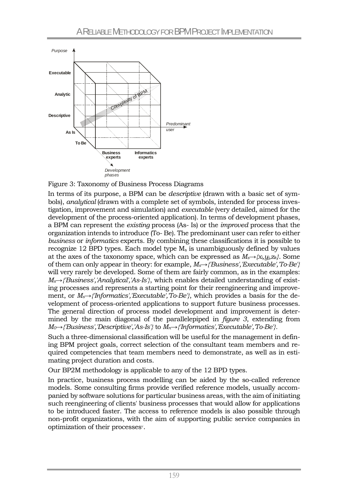

Figure 3: Taxonomy of Business Process Diagrams

In terms of its purpose, a BPM can be *descriptive* (drawn with a basic set of symbols), *analytical* (drawn with a complete set of symbols, intended for process investigation, improvement and simulation) and *executable* (very detailed, aimed for the development of the process-oriented application). In terms of development phases, a BPM can represent the *existing* process (As- Is) or the *improved* process that the organization intends to introduce (To- Be). The predominant user can refer to either *business* or *informatics* experts. By combining these classifications it is possible to recognize 12 BPD types. Each model type  $M_s$  is unambiguously defined by values at the axes of the taxonomy space, which can be expressed as *Ms→{xi,yj,zk}*. Some of them can only appear in theory: for example, *Ms→{'Business','Executable','To-Be'}* will very rarely be developed. Some of them are fairly common, as in the examples: *Ms→{'Business','Analytical','As-Is'}*, which enables detailed understanding of existing processes and represents a starting point for their reengineering and improvement, or *Ms→{'Informatics','Executable','To-Be'}*, which provides a basis for the development of process-oriented applications to support future business processes. The general direction of process model development and improvement is determined by the main diagonal of the parallelepiped in *figure 3*, extending from *M0→{'Business','Descriptive','As-Is'}* to *Mn→{'Informatics','Executable','To-Be'}.*

Such a three-dimensional classification will be useful for the management in defining BPM project goals, correct selection of the consultant team members and required competencies that team members need to demonstrate, as well as in estimating project duration and costs.

Our BP2M methodology is applicable to any of the 12 BPD types.

In practice, business process modelling can be aided by the so-called reference models. Some consulting firms provide verified reference models, usually accompanied by software solutions for particular business areas, with the aim of initiating such reengineering of clients' business processes that would allow for applications to be introduced faster. The access to reference models is also possible through non-profit organizations, with the aim of supporting public service companies in optimization of their processesv.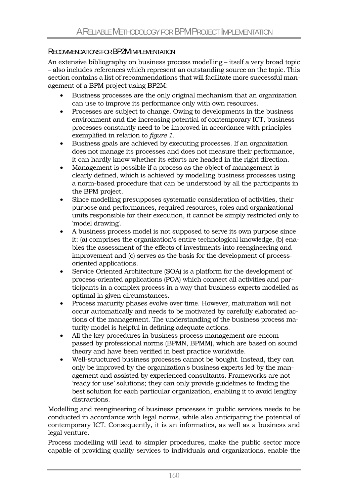### RECOMMENDATIONS FOR BP2M IMPLEMENTATION

An extensive bibliography on business process modelling – itself a very broad topic – also includes references which represent an outstanding source on the topic. This section contains a list of recommendations that will facilitate more successful management of a BPM project using BP2M:

- Business processes are the only original mechanism that an organization can use to improve its performance only with own resources.
- Processes are subject to change. Owing to developments in the business environment and the increasing potential of contemporary ICT, business processes constantly need to be improved in accordance with principles exemplified in relation to *figure 1.*
- Business goals are achieved by executing processes. If an organization does not manage its processes and does not measure their performance, it can hardly know whether its efforts are headed in the right direction.
- Management is possible if a process as the object of management is clearly defined, which is achieved by modelling business processes using a norm-based procedure that can be understood by all the participants in the BPM project.
- Since modelling presupposes systematic consideration of activities, their purpose and performances, required resources, roles and organizational units responsible for their execution, it cannot be simply restricted only to 'model drawing'.
- A business process model is not supposed to serve its own purpose since it: (a) comprises the organization's entire technological knowledge, (b) enables the assessment of the effects of investments into reengineering and improvement and (c) serves as the basis for the development of processoriented applications.
- Service Oriented Architecture (SOA) is a platform for the development of process-oriented applications (POA) which connect all activities and participants in a complex process in a way that business experts modelled as optimal in given circumstances.
- Process maturity phases evolve over time. However, maturation will not occur automatically and needs to be motivated by carefully elaborated actions of the management. The understanding of the business process maturity model is helpful in defining adequate actions.
- All the key procedures in business process management are encompassed by professional norms (BPMN, BPMM), which are based on sound theory and have been verified in best practice worldwide.
- Well-structured business processes cannot be bought. Instead, they can only be improved by the organization's business experts led by the management and assisted by experienced consultants. Frameworks are not 'ready for use' solutions; they can only provide guidelines to finding the best solution for each particular organization, enabling it to avoid lengthy distractions.

Modelling and reengineering of business processes in public services needs to be conducted in accordance with legal norms, while also anticipating the potential of contemporary ICT. Consequently, it is an informatics, as well as a business and legal venture.

Process modelling will lead to simpler procedures, make the public sector more capable of providing quality services to individuals and organizations, enable the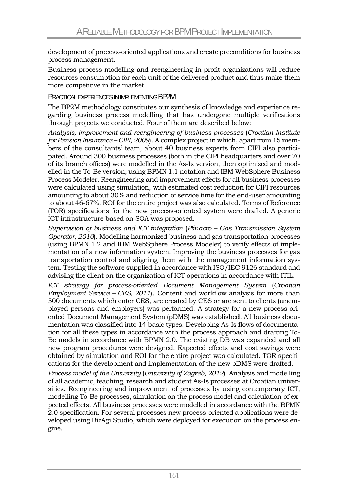development of process-oriented applications and create preconditions for business process management.

Business process modelling and reengineering in profit organizations will reduce resources consumption for each unit of the delivered product and thus make them more competitive in the market.

#### PRACTICAL EXPERIENCES IN IMPLEMENTING BP2M

The BP2M methodology constitutes our synthesis of knowledge and experience regarding business process modelling that has undergone multiple verifications through projects we conducted. Four of them are described below:

*Analysis, improvement and reengineering of business processes* (*Croatian Institute for Pension Insurance – CIPI, 2009*). A complex project in which, apart from 15 members of the consultants' team, about 40 business experts from CIPI also participated. Around 300 business processes (both in the CIPI headquarters and over 70 of its branch offices) were modelled in the As-Is version, then optimized and modelled in the To-Be version, using BPMN 1.1 notation and IBM WebSphere Business Process Modeler. Reengineering and improvement effects for all business processes were calculated using simulation, with estimated cost reduction for CIPI resources amounting to about 30% and reduction of service time for the end-user amounting to about 46-67%. ROI for the entire project was also calculated. Terms of Reference (TOR) specifications for the new process-oriented system were drafted. A generic ICT infrastructure based on SOA was proposed.

*Supervision of business and ICT integration* (*Plinacro – Gas Transmission System Operator, 2010*). Modelling harmonized business and gas transportation processes (using BPMN 1.2 and IBM WebSphere Process Modeler) to verify effects of implementation of a new information system. Improving the business processes for gas transportation control and aligning them with the management information system. Testing the software supplied in accordance with ISO/IEC 9126 standard and advising the client on the organization of ICT operations in accordance with ITIL.

*ICT strategy for process-oriented Document Management System* (*Croatian Employment Service – CES, 2011*). Content and workflow analysis for more than 500 documents which enter CES, are created by CES or are sent to clients (unemployed persons and employers) was performed. A strategy for a new process-oriented Document Management System (pDMS) was established. All business documentation was classified into 14 basic types. Developing As-Is flows of documentation for all these types in accordance with the process approach and drafting To-Be models in accordance with BPMN 2.0. The existing DB was expanded and all new program procedures were designed. Expected effects and cost savings were obtained by simulation and ROI for the entire project was calculated. TOR specifications for the development and implementation of the new pDMS were drafted.

*Process model of the University* (*University of Zagreb, 2012*). Analysis and modelling of all academic, teaching, research and student As-Is processes at Croatian universities. Reengineering and improvement of processes by using contemporary ICT, modelling To-Be processes, simulation on the process model and calculation of expected effects. All business processes were modelled in accordance with the BPMN 2.0 specification. For several processes new process-oriented applications were developed using BizAgi Studio, which were deployed for execution on the process engine.